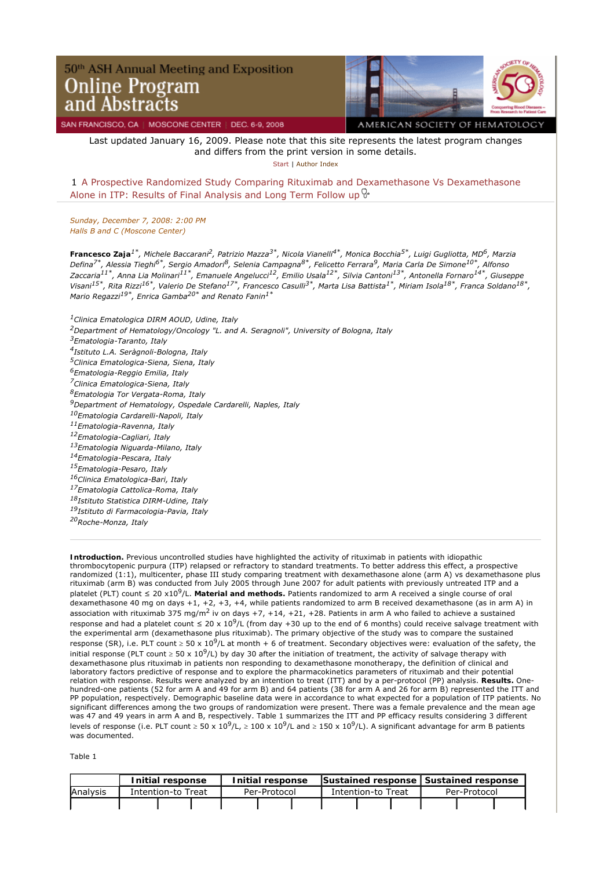

Last updated January 16, 2009. Please note that this site represents the latest program changes and differs from the print version in some details.

Start | Author Index

1 A Prospective Randomized Study Comparing Rituximab and Dexamethasone Vs Dexamethasone Alone in ITP: Results of Final Analysis and Long Term Follow up  $\mathbb{V}$ 

*Sunday, December 7, 2008: 2:00 PM Halls B and C (Moscone Center)* 

*Francesco Zaja1\*, Michele Baccarani2, Patrizio Mazza3\*, Nicola Vianelli4\*, Monica Bocchia5\*, Luigi Gugliotta, MD6, Marzia Defina7\*, Alessia Tieghi6\*, Sergio Amadori8, Selenia Campagna8\*, Felicetto Ferrara9, Maria Carla De Simone10\*, Alfonso Zaccaria11\*, Anna Lia Molinari11\*, Emanuele Angelucci12, Emilio Usala12\*, Silvia Cantoni13\*, Antonella Fornaro14\*, Giuseppe Visani15\*, Rita Rizzi16\*, Valerio De Stefano17\*, Francesco Casulli3\*, Marta Lisa Battista1\*, Miriam Isola18\*, Franca Soldano18\*, Mario Regazzi19\*, Enrica Gamba20\* and Renato Fanin1\**

*1Clinica Ematologica DIRM AOUD, Udine, Italy*

*2Department of Hematology/Oncology "L. and A. Seragnoli", University of Bologna, Italy*

*3Ematologia-Taranto, Italy*

*4Istituto L.A. Seràgnoli-Bologna, Italy*

- *5Clinica Ematologica-Siena, Siena, Italy*
- *6Ematologia-Reggio Emilia, Italy*
- *7Clinica Ematologica-Siena, Italy*

*9Department of Hematology, Ospedale Cardarelli, Naples, Italy*

- *10Ematologia Cardarelli-Napoli, Italy*
- *11Ematologia-Ravenna, Italy*
- *12Ematologia-Cagliari, Italy*
- *13Ematologia Niguarda-Milano, Italy*
- *14Ematologia-Pescara, Italy*
- *15Ematologia-Pesaro, Italy*
- *16Clinica Ematologica-Bari, Italy*
- *17Ematologia Cattolica-Roma, Italy*
- *18Istituto Statistica DIRM-Udine, Italy*
- *19Istituto di Farmacologia-Pavia, Italy*

*20Roche-Monza, Italy*

**Introduction.** Previous uncontrolled studies have highlighted the activity of rituximab in patients with idiopathic thrombocytopenic purpura (ITP) relapsed or refractory to standard treatments. To better address this effect, a prospective randomized (1:1), multicenter, phase III study comparing treatment with dexamethasone alone (arm A) vs dexamethasone plus rituximab (arm B) was conducted from July 2005 through June 2007 for adult patients with previously untreated ITP and a platelet (PLT) count ≤ 20 x109/L. **Material and methods.** Patients randomized to arm A received a single course of oral dexamethasone 40 mg on days +1, +2, +3, +4, while patients randomized to arm B received dexamethasone (as in arm A) in association with rituximab 375 mg/m<sup>2</sup> iv on days +7, +14, +21, +28. Patients in arm A who failed to achieve a sustained response and had a platelet count  $\leq 20 \times 10^9$ /L (from day +30 up to the end of 6 months) could receive salvage treatment with the experimental arm (dexamethasone plus rituximab). The primary objective of the study was to compare the sustained response (SR), i.e. PLT count  $\geq 50 \times 10^9$ /L at month + 6 of treatment. Secondary objectives were: evaluation of the safety, the initial response (PLT count  $\geq 50 \times 10^9$ /L) by day 30 after the initiation of treatment, the activity of salvage therapy with dexamethasone plus rituximab in patients non responding to dexamethasone monotherapy, the definition of clinical and laboratory factors predictive of response and to explore the pharmacokinetics parameters of rituximab and their potential relation with response. Results were analyzed by an intention to treat (ITT) and by a per-protocol (PP) analysis. **Results.** Onehundred-one patients (52 for arm A and 49 for arm B) and 64 patients (38 for arm A and 26 for arm B) represented the ITT and PP population, respectively. Demographic baseline data were in accordance to what expected for a population of ITP patients. No significant differences among the two groups of randomization were present. There was a female prevalence and the mean age was 47 and 49 years in arm A and B, respectively. Table 1 summarizes the ITT and PP efficacy results considering 3 different levels of response (i.e. PLT count  $\geq 50 \times 10^9/L$ ,  $\geq 100 \times 10^9/L$  and  $\geq 150 \times 10^9/L$ ). A significant advantage for arm B patients was documented.

Table 1

|                 | Initial response   |  |  | <b>Initial response</b> |  |  |                    |  |  | <b>Sustained response I Sustained response</b> |  |  |
|-----------------|--------------------|--|--|-------------------------|--|--|--------------------|--|--|------------------------------------------------|--|--|
| <b>Analysis</b> | Intention-to Treat |  |  | Per-Protocol            |  |  | Intention-to Treat |  |  | Per-Protocol                                   |  |  |
|                 |                    |  |  |                         |  |  |                    |  |  |                                                |  |  |

*<sup>8</sup>Ematologia Tor Vergata-Roma, Italy*